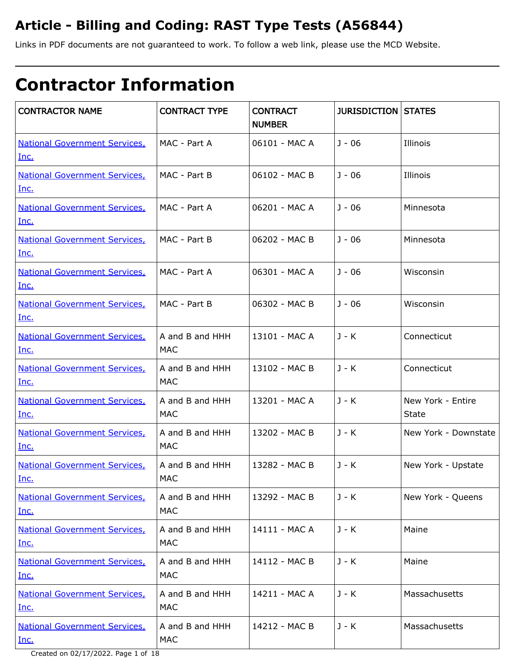### **Article - Billing and Coding: RAST Type Tests (A56844)**

Links in PDF documents are not guaranteed to work. To follow a web link, please use the MCD Website.

# **Contractor Information**

| <b>CONTRACTOR NAME</b>                              | <b>CONTRACT TYPE</b>          | <b>CONTRACT</b><br><b>NUMBER</b> | <b>JURISDICTION STATES</b> |                                   |
|-----------------------------------------------------|-------------------------------|----------------------------------|----------------------------|-----------------------------------|
| <b>National Government Services,</b><br>Inc.        | MAC - Part A                  | 06101 - MAC A                    | $J - 06$                   | Illinois                          |
| <b>National Government Services,</b><br>Inc.        | MAC - Part B                  | 06102 - MAC B                    | $J - 06$                   | Illinois                          |
| <b>National Government Services,</b><br>Inc.        | MAC - Part A                  | 06201 - MAC A                    | $J - 06$                   | Minnesota                         |
| <b>National Government Services,</b><br>Inc.        | MAC - Part B                  | 06202 - MAC B                    | $J - 06$                   | Minnesota                         |
| <b>National Government Services,</b><br>Inc.        | MAC - Part A                  | 06301 - MAC A                    | $J - 06$                   | Wisconsin                         |
| <b>National Government Services,</b><br>Inc.        | MAC - Part B                  | 06302 - MAC B                    | $J - 06$                   | Wisconsin                         |
| <b>National Government Services,</b><br>Inc.        | A and B and HHH<br><b>MAC</b> | 13101 - MAC A                    | J - K                      | Connecticut                       |
| <b>National Government Services,</b><br>Inc.        | A and B and HHH<br><b>MAC</b> | 13102 - MAC B                    | J - K                      | Connecticut                       |
| <b>National Government Services,</b><br>Inc.        | A and B and HHH<br><b>MAC</b> | 13201 - MAC A                    | $J - K$                    | New York - Entire<br><b>State</b> |
| <b>National Government Services,</b><br>Inc.        | A and B and HHH<br><b>MAC</b> | 13202 - MAC B                    | $J - K$                    | New York - Downstate              |
| <b>National Government Services,</b><br>Inc.        | A and B and HHH<br><b>MAC</b> | 13282 - MAC B                    | $J - K$                    | New York - Upstate                |
| <b>National Government Services,</b><br><u>Inc.</u> | A and B and HHH<br><b>MAC</b> | 13292 - MAC B                    | $J - K$                    | New York - Queens                 |
| <b>National Government Services,</b><br>Inc.        | A and B and HHH<br><b>MAC</b> | 14111 - MAC A                    | J - K                      | Maine                             |
| <b>National Government Services,</b><br>Inc.        | A and B and HHH<br><b>MAC</b> | 14112 - MAC B                    | J - K                      | Maine                             |
| <b>National Government Services,</b><br><u>Inc.</u> | A and B and HHH<br><b>MAC</b> | 14211 - MAC A                    | J - K                      | Massachusetts                     |
| <b>National Government Services,</b><br>Inc.        | A and B and HHH<br><b>MAC</b> | 14212 - MAC B                    | $J - K$                    | Massachusetts                     |

Created on 02/17/2022. Page 1 of 18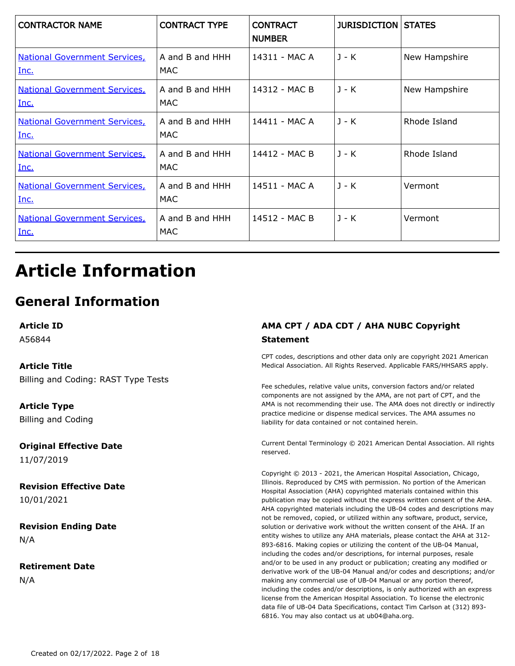| <b>CONTRACTOR NAME</b>                       | <b>CONTRACT TYPE</b>    | <b>CONTRACT</b><br><b>NUMBER</b> | <b>JURISDICTION STATES</b> |               |
|----------------------------------------------|-------------------------|----------------------------------|----------------------------|---------------|
| <b>National Government Services,</b><br>Inc. | A and B and HHH<br>MAC. | 14311 - MAC A                    | $J - K$                    | New Hampshire |
| <b>National Government Services</b><br>Inc.  | A and B and HHH<br>MAC  | 14312 - MAC B                    | $J - K$                    | New Hampshire |
| <b>National Government Services,</b><br>Inc. | A and B and HHH<br>MAC  | 14411 - MAC A                    | $J - K$                    | Rhode Island  |
| <b>National Government Services,</b><br>Inc. | A and B and HHH<br>MAC  | 14412 - MAC B                    | $J - K$                    | Rhode Island  |
| <b>National Government Services,</b><br>Inc. | A and B and HHH<br>MAC  | 14511 - MAC A                    | $J - K$                    | Vermont       |
| <b>National Government Services,</b><br>Inc. | A and B and HHH<br>MAC  | 14512 - MAC B                    | $J - K$                    | Vermont       |

## **Article Information**

### **General Information**

**Article ID**

A56844

#### **Article Title**

Billing and Coding: RAST Type Tests

**Article Type** Billing and Coding

**Original Effective Date** 11/07/2019

**Revision Effective Date** 10/01/2021

**Revision Ending Date** N/A

**Retirement Date** N/A

#### **AMA CPT / ADA CDT / AHA NUBC Copyright Statement**

CPT codes, descriptions and other data only are copyright 2021 American Medical Association. All Rights Reserved. Applicable FARS/HHSARS apply.

Fee schedules, relative value units, conversion factors and/or related components are not assigned by the AMA, are not part of CPT, and the AMA is not recommending their use. The AMA does not directly or indirectly practice medicine or dispense medical services. The AMA assumes no liability for data contained or not contained herein.

Current Dental Terminology © 2021 American Dental Association. All rights reserved.

Copyright © 2013 - 2021, the American Hospital Association, Chicago, Illinois. Reproduced by CMS with permission. No portion of the American Hospital Association (AHA) copyrighted materials contained within this publication may be copied without the express written consent of the AHA. AHA copyrighted materials including the UB-04 codes and descriptions may not be removed, copied, or utilized within any software, product, service, solution or derivative work without the written consent of the AHA. If an entity wishes to utilize any AHA materials, please contact the AHA at 312- 893-6816. Making copies or utilizing the content of the UB-04 Manual, including the codes and/or descriptions, for internal purposes, resale and/or to be used in any product or publication; creating any modified or derivative work of the UB-04 Manual and/or codes and descriptions; and/or making any commercial use of UB-04 Manual or any portion thereof, including the codes and/or descriptions, is only authorized with an express license from the American Hospital Association. To license the electronic data file of UB-04 Data Specifications, contact Tim Carlson at (312) 893- 6816. You may also contact us at ub04@aha.org.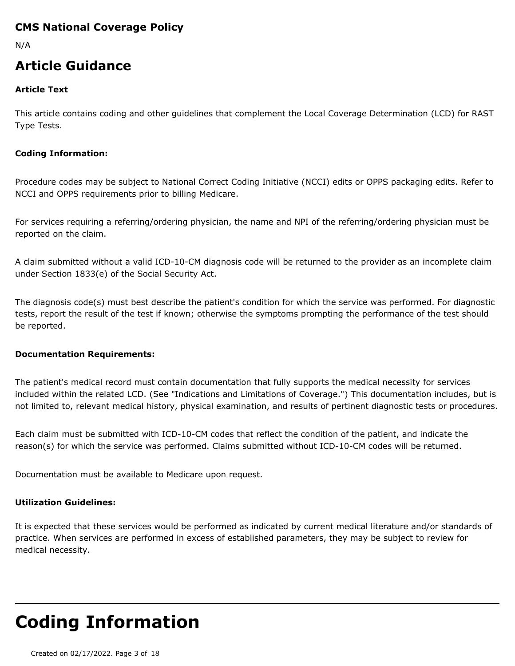#### **CMS National Coverage Policy**

N/A

### **Article Guidance**

#### **Article Text**

This article contains coding and other guidelines that complement the Local Coverage Determination (LCD) for RAST Type Tests.

#### **Coding Information:**

Procedure codes may be subject to National Correct Coding Initiative (NCCI) edits or OPPS packaging edits. Refer to NCCI and OPPS requirements prior to billing Medicare.

For services requiring a referring/ordering physician, the name and NPI of the referring/ordering physician must be reported on the claim.

A claim submitted without a valid ICD-10-CM diagnosis code will be returned to the provider as an incomplete claim under Section 1833(e) of the Social Security Act.

The diagnosis code(s) must best describe the patient's condition for which the service was performed. For diagnostic tests, report the result of the test if known; otherwise the symptoms prompting the performance of the test should be reported.

#### **Documentation Requirements:**

The patient's medical record must contain documentation that fully supports the medical necessity for services included within the related LCD. (See "Indications and Limitations of Coverage.") This documentation includes, but is not limited to, relevant medical history, physical examination, and results of pertinent diagnostic tests or procedures.

Each claim must be submitted with ICD-10-CM codes that reflect the condition of the patient, and indicate the reason(s) for which the service was performed. Claims submitted without ICD-10-CM codes will be returned.

Documentation must be available to Medicare upon request.

#### **Utilization Guidelines:**

It is expected that these services would be performed as indicated by current medical literature and/or standards of practice. When services are performed in excess of established parameters, they may be subject to review for medical necessity.

## **Coding Information**

Created on 02/17/2022. Page 3 of 18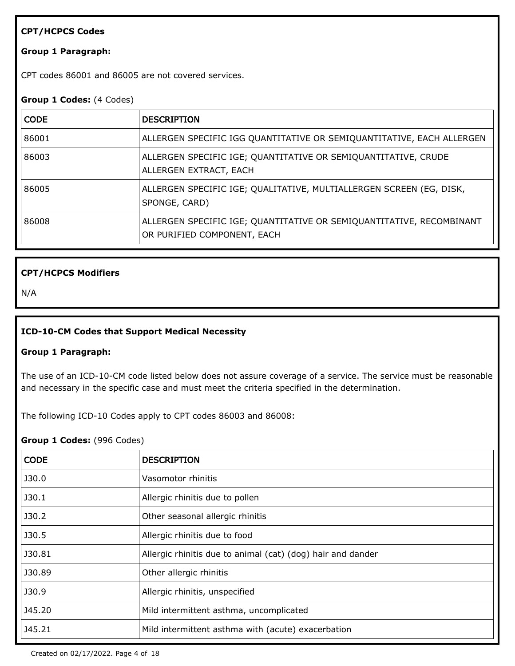#### **CPT/HCPCS Codes**

#### **Group 1 Paragraph:**

CPT codes 86001 and 86005 are not covered services.

#### **Group 1 Codes:** (4 Codes)

| <b>CODE</b> | <b>DESCRIPTION</b>                                                                                  |
|-------------|-----------------------------------------------------------------------------------------------------|
| 86001       | ALLERGEN SPECIFIC IGG QUANTITATIVE OR SEMIQUANTITATIVE, EACH ALLERGEN                               |
| 86003       | ALLERGEN SPECIFIC IGE; QUANTITATIVE OR SEMIQUANTITATIVE, CRUDE<br>ALLERGEN EXTRACT, EACH            |
| 86005       | ALLERGEN SPECIFIC IGE; QUALITATIVE, MULTIALLERGEN SCREEN (EG, DISK,<br>SPONGE, CARD)                |
| 86008       | ALLERGEN SPECIFIC IGE; QUANTITATIVE OR SEMIQUANTITATIVE, RECOMBINANT<br>OR PURIFIED COMPONENT, EACH |

#### **CPT/HCPCS Modifiers**

N/A

#### **ICD-10-CM Codes that Support Medical Necessity**

#### **Group 1 Paragraph:**

The use of an ICD-10-CM code listed below does not assure coverage of a service. The service must be reasonable and necessary in the specific case and must meet the criteria specified in the determination.

The following ICD-10 Codes apply to CPT codes 86003 and 86008:

#### **Group 1 Codes:** (996 Codes)

| <b>CODE</b> | <b>DESCRIPTION</b>                                          |
|-------------|-------------------------------------------------------------|
| J30.0       | Vasomotor rhinitis                                          |
| J30.1       | Allergic rhinitis due to pollen                             |
| J30.2       | Other seasonal allergic rhinitis                            |
| J30.5       | Allergic rhinitis due to food                               |
| J30.81      | Allergic rhinitis due to animal (cat) (dog) hair and dander |
| J30.89      | Other allergic rhinitis                                     |
| J30.9       | Allergic rhinitis, unspecified                              |
| J45.20      | Mild intermittent asthma, uncomplicated                     |
| J45.21      | Mild intermittent asthma with (acute) exacerbation          |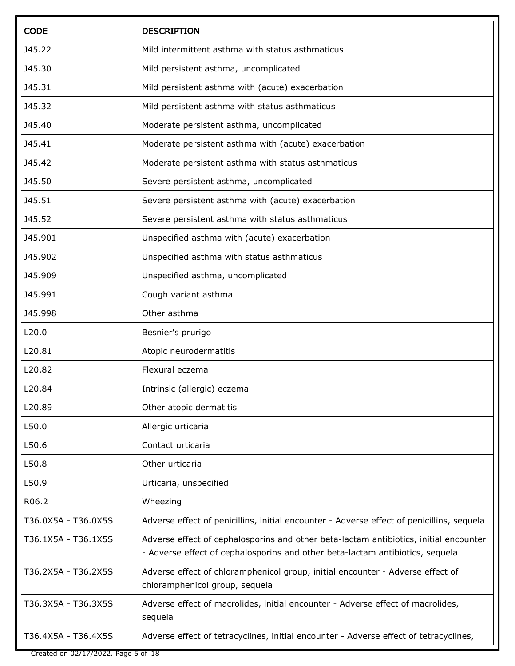| <b>CODE</b>         | <b>DESCRIPTION</b>                                                                                                                                                     |
|---------------------|------------------------------------------------------------------------------------------------------------------------------------------------------------------------|
| J45.22              | Mild intermittent asthma with status asthmaticus                                                                                                                       |
| J45.30              | Mild persistent asthma, uncomplicated                                                                                                                                  |
| J45.31              | Mild persistent asthma with (acute) exacerbation                                                                                                                       |
| J45.32              | Mild persistent asthma with status asthmaticus                                                                                                                         |
| J45.40              | Moderate persistent asthma, uncomplicated                                                                                                                              |
| J45.41              | Moderate persistent asthma with (acute) exacerbation                                                                                                                   |
| J45.42              | Moderate persistent asthma with status asthmaticus                                                                                                                     |
| J45.50              | Severe persistent asthma, uncomplicated                                                                                                                                |
| J45.51              | Severe persistent asthma with (acute) exacerbation                                                                                                                     |
| J45.52              | Severe persistent asthma with status asthmaticus                                                                                                                       |
| J45.901             | Unspecified asthma with (acute) exacerbation                                                                                                                           |
| J45.902             | Unspecified asthma with status asthmaticus                                                                                                                             |
| J45.909             | Unspecified asthma, uncomplicated                                                                                                                                      |
| J45.991             | Cough variant asthma                                                                                                                                                   |
| J45.998             | Other asthma                                                                                                                                                           |
| L20.0               | Besnier's prurigo                                                                                                                                                      |
| L20.81              | Atopic neurodermatitis                                                                                                                                                 |
| L20.82              | Flexural eczema                                                                                                                                                        |
| L20.84              | Intrinsic (allergic) eczema                                                                                                                                            |
| L20.89              | Other atopic dermatitis                                                                                                                                                |
| L50.0               | Allergic urticaria                                                                                                                                                     |
| L50.6               | Contact urticaria                                                                                                                                                      |
| L50.8               | Other urticaria                                                                                                                                                        |
| L50.9               | Urticaria, unspecified                                                                                                                                                 |
| R06.2               | Wheezing                                                                                                                                                               |
| T36.0X5A - T36.0X5S | Adverse effect of penicillins, initial encounter - Adverse effect of penicillins, sequela                                                                              |
| T36.1X5A - T36.1X5S | Adverse effect of cephalosporins and other beta-lactam antibiotics, initial encounter<br>- Adverse effect of cephalosporins and other beta-lactam antibiotics, sequela |
| T36.2X5A - T36.2X5S | Adverse effect of chloramphenicol group, initial encounter - Adverse effect of<br>chloramphenicol group, sequela                                                       |
| T36.3X5A - T36.3X5S | Adverse effect of macrolides, initial encounter - Adverse effect of macrolides,<br>sequela                                                                             |
| T36.4X5A - T36.4X5S | Adverse effect of tetracyclines, initial encounter - Adverse effect of tetracyclines,                                                                                  |

Created on 02/17/2022. Page 5 of 18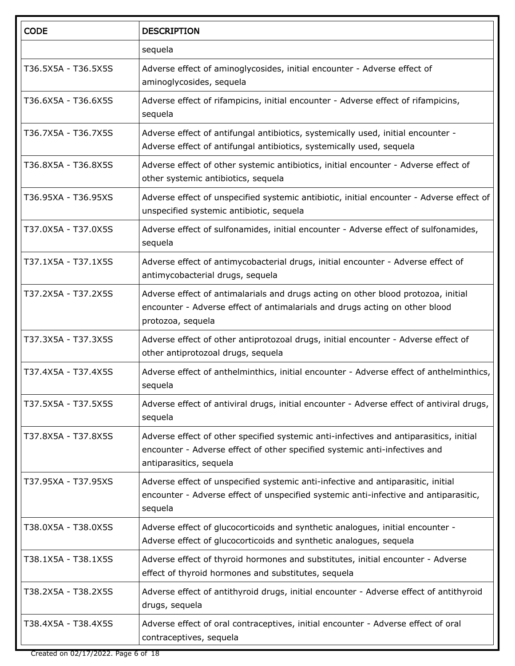| <b>CODE</b>         | <b>DESCRIPTION</b>                                                                                                                                                                              |
|---------------------|-------------------------------------------------------------------------------------------------------------------------------------------------------------------------------------------------|
|                     | sequela                                                                                                                                                                                         |
| T36.5X5A - T36.5X5S | Adverse effect of aminoglycosides, initial encounter - Adverse effect of<br>aminoglycosides, sequela                                                                                            |
| T36.6X5A - T36.6X5S | Adverse effect of rifampicins, initial encounter - Adverse effect of rifampicins,<br>sequela                                                                                                    |
| T36.7X5A - T36.7X5S | Adverse effect of antifungal antibiotics, systemically used, initial encounter -<br>Adverse effect of antifungal antibiotics, systemically used, sequela                                        |
| T36.8X5A - T36.8X5S | Adverse effect of other systemic antibiotics, initial encounter - Adverse effect of<br>other systemic antibiotics, sequela                                                                      |
| T36.95XA - T36.95XS | Adverse effect of unspecified systemic antibiotic, initial encounter - Adverse effect of<br>unspecified systemic antibiotic, sequela                                                            |
| T37.0X5A - T37.0X5S | Adverse effect of sulfonamides, initial encounter - Adverse effect of sulfonamides,<br>sequela                                                                                                  |
| T37.1X5A - T37.1X5S | Adverse effect of antimycobacterial drugs, initial encounter - Adverse effect of<br>antimycobacterial drugs, sequela                                                                            |
| T37.2X5A - T37.2X5S | Adverse effect of antimalarials and drugs acting on other blood protozoa, initial<br>encounter - Adverse effect of antimalarials and drugs acting on other blood<br>protozoa, sequela           |
| T37.3X5A - T37.3X5S | Adverse effect of other antiprotozoal drugs, initial encounter - Adverse effect of<br>other antiprotozoal drugs, sequela                                                                        |
| T37.4X5A - T37.4X5S | Adverse effect of anthelminthics, initial encounter - Adverse effect of anthelminthics,<br>sequela                                                                                              |
| T37.5X5A - T37.5X5S | Adverse effect of antiviral drugs, initial encounter - Adverse effect of antiviral drugs,<br>sequela                                                                                            |
| T37.8X5A - T37.8X5S | Adverse effect of other specified systemic anti-infectives and antiparasitics, initial<br>encounter - Adverse effect of other specified systemic anti-infectives and<br>antiparasitics, sequela |
| T37.95XA - T37.95XS | Adverse effect of unspecified systemic anti-infective and antiparasitic, initial<br>encounter - Adverse effect of unspecified systemic anti-infective and antiparasitic,<br>sequela             |
| T38.0X5A - T38.0X5S | Adverse effect of glucocorticoids and synthetic analogues, initial encounter -<br>Adverse effect of glucocorticoids and synthetic analogues, sequela                                            |
| T38.1X5A - T38.1X5S | Adverse effect of thyroid hormones and substitutes, initial encounter - Adverse<br>effect of thyroid hormones and substitutes, sequela                                                          |
| T38.2X5A - T38.2X5S | Adverse effect of antithyroid drugs, initial encounter - Adverse effect of antithyroid<br>drugs, sequela                                                                                        |
| T38.4X5A - T38.4X5S | Adverse effect of oral contraceptives, initial encounter - Adverse effect of oral<br>contraceptives, sequela                                                                                    |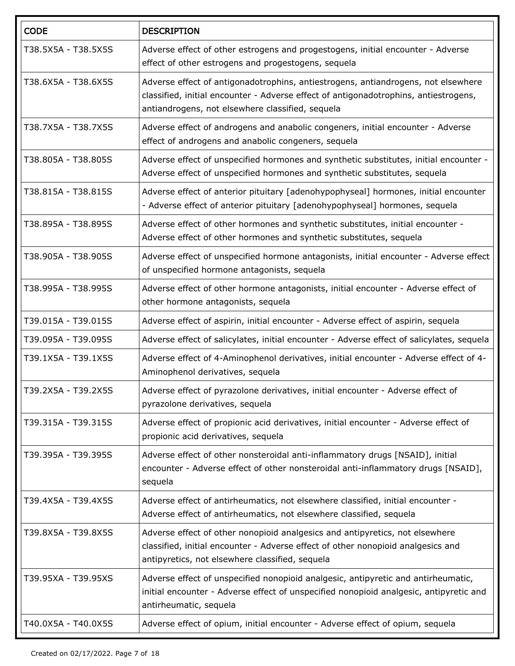| <b>CODE</b>         | <b>DESCRIPTION</b>                                                                                                                                                                                                            |
|---------------------|-------------------------------------------------------------------------------------------------------------------------------------------------------------------------------------------------------------------------------|
| T38.5X5A - T38.5X5S | Adverse effect of other estrogens and progestogens, initial encounter - Adverse<br>effect of other estrogens and progestogens, sequela                                                                                        |
| T38.6X5A - T38.6X5S | Adverse effect of antigonadotrophins, antiestrogens, antiandrogens, not elsewhere<br>classified, initial encounter - Adverse effect of antigonadotrophins, antiestrogens,<br>antiandrogens, not elsewhere classified, sequela |
| T38.7X5A - T38.7X5S | Adverse effect of androgens and anabolic congeners, initial encounter - Adverse<br>effect of androgens and anabolic congeners, sequela                                                                                        |
| T38.805A - T38.805S | Adverse effect of unspecified hormones and synthetic substitutes, initial encounter -<br>Adverse effect of unspecified hormones and synthetic substitutes, sequela                                                            |
| T38.815A - T38.815S | Adverse effect of anterior pituitary [adenohypophyseal] hormones, initial encounter<br>- Adverse effect of anterior pituitary [adenohypophyseal] hormones, sequela                                                            |
| T38.895A - T38.895S | Adverse effect of other hormones and synthetic substitutes, initial encounter -<br>Adverse effect of other hormones and synthetic substitutes, sequela                                                                        |
| T38.905A - T38.905S | Adverse effect of unspecified hormone antagonists, initial encounter - Adverse effect<br>of unspecified hormone antagonists, sequela                                                                                          |
| T38.995A - T38.995S | Adverse effect of other hormone antagonists, initial encounter - Adverse effect of<br>other hormone antagonists, sequela                                                                                                      |
| T39.015A - T39.015S | Adverse effect of aspirin, initial encounter - Adverse effect of aspirin, sequela                                                                                                                                             |
| T39.095A - T39.095S | Adverse effect of salicylates, initial encounter - Adverse effect of salicylates, sequela                                                                                                                                     |
| T39.1X5A - T39.1X5S | Adverse effect of 4-Aminophenol derivatives, initial encounter - Adverse effect of 4-<br>Aminophenol derivatives, sequela                                                                                                     |
| T39.2X5A - T39.2X5S | Adverse effect of pyrazolone derivatives, initial encounter - Adverse effect of<br>pyrazolone derivatives, sequela                                                                                                            |
| T39.315A - T39.315S | Adverse effect of propionic acid derivatives, initial encounter - Adverse effect of<br>propionic acid derivatives, sequela                                                                                                    |
| T39.395A - T39.395S | Adverse effect of other nonsteroidal anti-inflammatory drugs [NSAID], initial<br>encounter - Adverse effect of other nonsteroidal anti-inflammatory drugs [NSAID],<br>sequela                                                 |
| T39.4X5A - T39.4X5S | Adverse effect of antirheumatics, not elsewhere classified, initial encounter -<br>Adverse effect of antirheumatics, not elsewhere classified, sequela                                                                        |
| T39.8X5A - T39.8X5S | Adverse effect of other nonopioid analgesics and antipyretics, not elsewhere<br>classified, initial encounter - Adverse effect of other nonopioid analgesics and<br>antipyretics, not elsewhere classified, sequela           |
| T39.95XA - T39.95XS | Adverse effect of unspecified nonopioid analgesic, antipyretic and antirheumatic,<br>initial encounter - Adverse effect of unspecified nonopioid analgesic, antipyretic and<br>antirheumatic, sequela                         |
| T40.0X5A - T40.0X5S | Adverse effect of opium, initial encounter - Adverse effect of opium, sequela                                                                                                                                                 |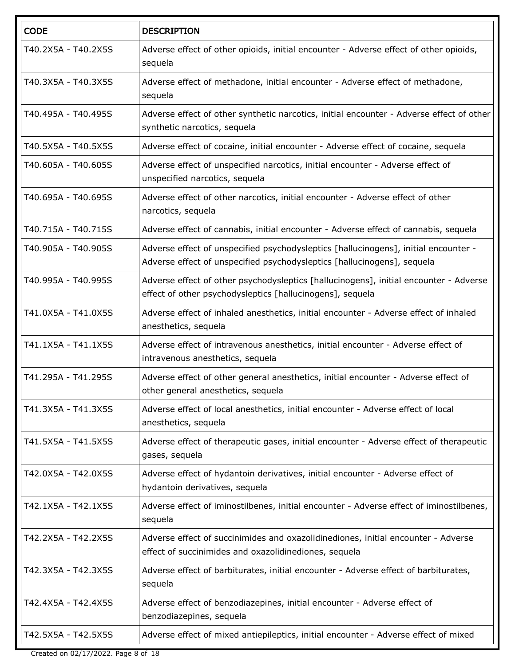| <b>CODE</b>         | <b>DESCRIPTION</b>                                                                                                                                             |
|---------------------|----------------------------------------------------------------------------------------------------------------------------------------------------------------|
| T40.2X5A - T40.2X5S | Adverse effect of other opioids, initial encounter - Adverse effect of other opioids,<br>sequela                                                               |
| T40.3X5A - T40.3X5S | Adverse effect of methadone, initial encounter - Adverse effect of methadone,<br>sequela                                                                       |
| T40.495A - T40.495S | Adverse effect of other synthetic narcotics, initial encounter - Adverse effect of other<br>synthetic narcotics, sequela                                       |
| T40.5X5A - T40.5X5S | Adverse effect of cocaine, initial encounter - Adverse effect of cocaine, sequela                                                                              |
| T40.605A - T40.605S | Adverse effect of unspecified narcotics, initial encounter - Adverse effect of<br>unspecified narcotics, sequela                                               |
| T40.695A - T40.695S | Adverse effect of other narcotics, initial encounter - Adverse effect of other<br>narcotics, sequela                                                           |
| T40.715A - T40.715S | Adverse effect of cannabis, initial encounter - Adverse effect of cannabis, sequela                                                                            |
| T40.905A - T40.905S | Adverse effect of unspecified psychodysleptics [hallucinogens], initial encounter -<br>Adverse effect of unspecified psychodysleptics [hallucinogens], sequela |
| T40.995A - T40.995S | Adverse effect of other psychodysleptics [hallucinogens], initial encounter - Adverse<br>effect of other psychodysleptics [hallucinogens], sequela             |
| T41.0X5A - T41.0X5S | Adverse effect of inhaled anesthetics, initial encounter - Adverse effect of inhaled<br>anesthetics, sequela                                                   |
| T41.1X5A - T41.1X5S | Adverse effect of intravenous anesthetics, initial encounter - Adverse effect of<br>intravenous anesthetics, sequela                                           |
| T41.295A - T41.295S | Adverse effect of other general anesthetics, initial encounter - Adverse effect of<br>other general anesthetics, sequela                                       |
| T41.3X5A - T41.3X5S | Adverse effect of local anesthetics, initial encounter - Adverse effect of local<br>anesthetics, sequela                                                       |
| T41.5X5A - T41.5X5S | Adverse effect of therapeutic gases, initial encounter - Adverse effect of therapeutic<br>gases, sequela                                                       |
| T42.0X5A - T42.0X5S | Adverse effect of hydantoin derivatives, initial encounter - Adverse effect of<br>hydantoin derivatives, sequela                                               |
| T42.1X5A - T42.1X5S | Adverse effect of iminostilbenes, initial encounter - Adverse effect of iminostilbenes,<br>sequela                                                             |
| T42.2X5A - T42.2X5S | Adverse effect of succinimides and oxazolidinediones, initial encounter - Adverse<br>effect of succinimides and oxazolidinediones, sequela                     |
| T42.3X5A - T42.3X5S | Adverse effect of barbiturates, initial encounter - Adverse effect of barbiturates,<br>sequela                                                                 |
| T42.4X5A - T42.4X5S | Adverse effect of benzodiazepines, initial encounter - Adverse effect of<br>benzodiazepines, sequela                                                           |
| T42.5X5A - T42.5X5S | Adverse effect of mixed antiepileptics, initial encounter - Adverse effect of mixed                                                                            |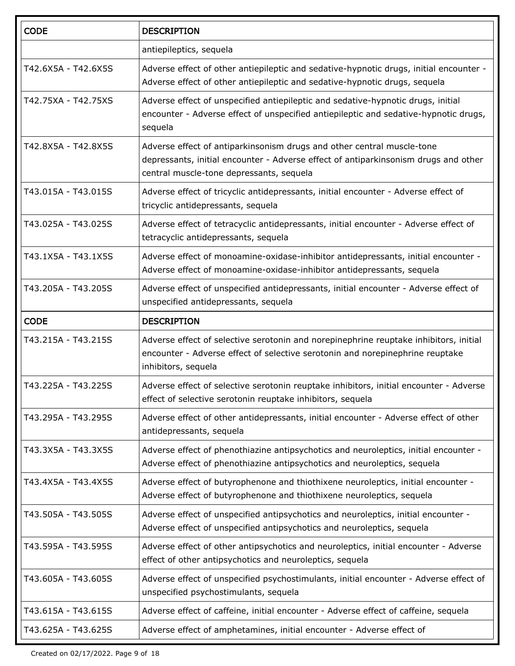| <b>CODE</b>         | <b>DESCRIPTION</b>                                                                                                                                                                                        |
|---------------------|-----------------------------------------------------------------------------------------------------------------------------------------------------------------------------------------------------------|
|                     | antiepileptics, sequela                                                                                                                                                                                   |
| T42.6X5A - T42.6X5S | Adverse effect of other antiepileptic and sedative-hypnotic drugs, initial encounter -<br>Adverse effect of other antiepileptic and sedative-hypnotic drugs, sequela                                      |
| T42.75XA - T42.75XS | Adverse effect of unspecified antiepileptic and sedative-hypnotic drugs, initial<br>encounter - Adverse effect of unspecified antiepileptic and sedative-hypnotic drugs,<br>sequela                       |
| T42.8X5A - T42.8X5S | Adverse effect of antiparkinsonism drugs and other central muscle-tone<br>depressants, initial encounter - Adverse effect of antiparkinsonism drugs and other<br>central muscle-tone depressants, sequela |
| T43.015A - T43.015S | Adverse effect of tricyclic antidepressants, initial encounter - Adverse effect of<br>tricyclic antidepressants, sequela                                                                                  |
| T43.025A - T43.025S | Adverse effect of tetracyclic antidepressants, initial encounter - Adverse effect of<br>tetracyclic antidepressants, sequela                                                                              |
| T43.1X5A - T43.1X5S | Adverse effect of monoamine-oxidase-inhibitor antidepressants, initial encounter -<br>Adverse effect of monoamine-oxidase-inhibitor antidepressants, sequela                                              |
| T43.205A - T43.205S | Adverse effect of unspecified antidepressants, initial encounter - Adverse effect of<br>unspecified antidepressants, sequela                                                                              |
| <b>CODE</b>         | <b>DESCRIPTION</b>                                                                                                                                                                                        |
| T43.215A - T43.215S | Adverse effect of selective serotonin and norepinephrine reuptake inhibitors, initial<br>encounter - Adverse effect of selective serotonin and norepinephrine reuptake<br>inhibitors, sequela             |
| T43.225A - T43.225S | Adverse effect of selective serotonin reuptake inhibitors, initial encounter - Adverse<br>effect of selective serotonin reuptake inhibitors, sequela                                                      |
| T43.295A - T43.295S | Adverse effect of other antidepressants, initial encounter - Adverse effect of other<br>antidepressants, sequela                                                                                          |
| T43.3X5A - T43.3X5S | Adverse effect of phenothiazine antipsychotics and neuroleptics, initial encounter -<br>Adverse effect of phenothiazine antipsychotics and neuroleptics, sequela                                          |
| T43.4X5A - T43.4X5S | Adverse effect of butyrophenone and thiothixene neuroleptics, initial encounter -<br>Adverse effect of butyrophenone and thiothixene neuroleptics, sequela                                                |
| T43.505A - T43.505S | Adverse effect of unspecified antipsychotics and neuroleptics, initial encounter -<br>Adverse effect of unspecified antipsychotics and neuroleptics, sequela                                              |
| T43.595A - T43.595S | Adverse effect of other antipsychotics and neuroleptics, initial encounter - Adverse<br>effect of other antipsychotics and neuroleptics, sequela                                                          |
| T43.605A - T43.605S | Adverse effect of unspecified psychostimulants, initial encounter - Adverse effect of<br>unspecified psychostimulants, sequela                                                                            |
| T43.615A - T43.615S | Adverse effect of caffeine, initial encounter - Adverse effect of caffeine, sequela                                                                                                                       |
| T43.625A - T43.625S | Adverse effect of amphetamines, initial encounter - Adverse effect of                                                                                                                                     |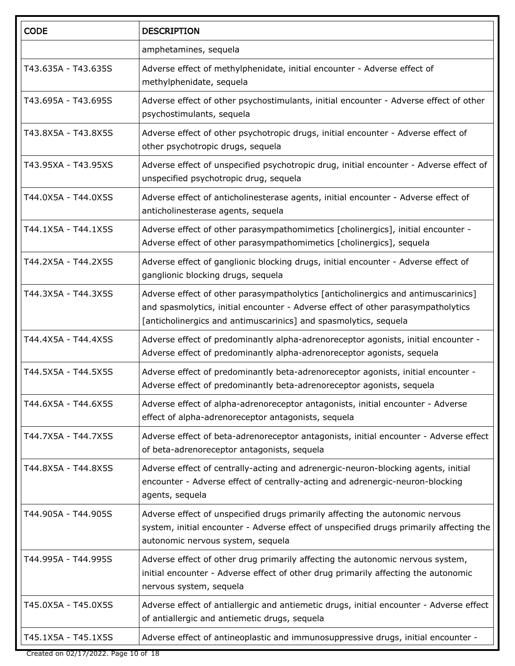| <b>CODE</b>         | <b>DESCRIPTION</b>                                                                                                                                                                                                                        |
|---------------------|-------------------------------------------------------------------------------------------------------------------------------------------------------------------------------------------------------------------------------------------|
|                     | amphetamines, sequela                                                                                                                                                                                                                     |
| T43.635A - T43.635S | Adverse effect of methylphenidate, initial encounter - Adverse effect of<br>methylphenidate, sequela                                                                                                                                      |
| T43.695A - T43.695S | Adverse effect of other psychostimulants, initial encounter - Adverse effect of other<br>psychostimulants, sequela                                                                                                                        |
| T43.8X5A - T43.8X5S | Adverse effect of other psychotropic drugs, initial encounter - Adverse effect of<br>other psychotropic drugs, sequela                                                                                                                    |
| T43.95XA - T43.95XS | Adverse effect of unspecified psychotropic drug, initial encounter - Adverse effect of<br>unspecified psychotropic drug, sequela                                                                                                          |
| T44.0X5A - T44.0X5S | Adverse effect of anticholinesterase agents, initial encounter - Adverse effect of<br>anticholinesterase agents, sequela                                                                                                                  |
| T44.1X5A - T44.1X5S | Adverse effect of other parasympathomimetics [cholinergics], initial encounter -<br>Adverse effect of other parasympathomimetics [cholinergics], sequela                                                                                  |
| T44.2X5A - T44.2X5S | Adverse effect of ganglionic blocking drugs, initial encounter - Adverse effect of<br>ganglionic blocking drugs, sequela                                                                                                                  |
| T44.3X5A - T44.3X5S | Adverse effect of other parasympatholytics [anticholinergics and antimuscarinics]<br>and spasmolytics, initial encounter - Adverse effect of other parasympatholytics<br>[anticholinergics and antimuscarinics] and spasmolytics, sequela |
| T44.4X5A - T44.4X5S | Adverse effect of predominantly alpha-adrenoreceptor agonists, initial encounter -<br>Adverse effect of predominantly alpha-adrenoreceptor agonists, sequela                                                                              |
| T44.5X5A - T44.5X5S | Adverse effect of predominantly beta-adrenoreceptor agonists, initial encounter -<br>Adverse effect of predominantly beta-adrenoreceptor agonists, sequela                                                                                |
| T44.6X5A - T44.6X5S | Adverse effect of alpha-adrenoreceptor antagonists, initial encounter - Adverse<br>effect of alpha-adrenoreceptor antagonists, sequela                                                                                                    |
| T44.7X5A - T44.7X5S | Adverse effect of beta-adrenoreceptor antagonists, initial encounter - Adverse effect<br>of beta-adrenoreceptor antagonists, sequela                                                                                                      |
| T44.8X5A - T44.8X5S | Adverse effect of centrally-acting and adrenergic-neuron-blocking agents, initial<br>encounter - Adverse effect of centrally-acting and adrenergic-neuron-blocking<br>agents, sequela                                                     |
| T44.905A - T44.905S | Adverse effect of unspecified drugs primarily affecting the autonomic nervous<br>system, initial encounter - Adverse effect of unspecified drugs primarily affecting the<br>autonomic nervous system, sequela                             |
| T44.995A - T44.995S | Adverse effect of other drug primarily affecting the autonomic nervous system,<br>initial encounter - Adverse effect of other drug primarily affecting the autonomic<br>nervous system, sequela                                           |
| T45.0X5A - T45.0X5S | Adverse effect of antiallergic and antiemetic drugs, initial encounter - Adverse effect<br>of antiallergic and antiemetic drugs, sequela                                                                                                  |
| T45.1X5A - T45.1X5S | Adverse effect of antineoplastic and immunosuppressive drugs, initial encounter -                                                                                                                                                         |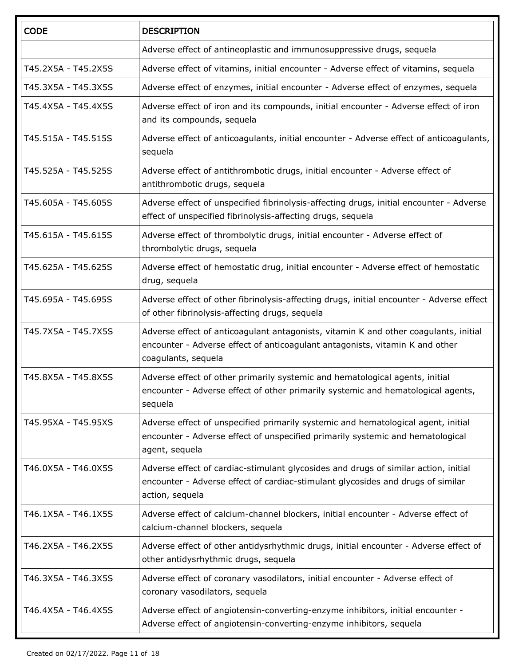| <b>CODE</b>         | <b>DESCRIPTION</b>                                                                                                                                                                          |
|---------------------|---------------------------------------------------------------------------------------------------------------------------------------------------------------------------------------------|
|                     | Adverse effect of antineoplastic and immunosuppressive drugs, sequela                                                                                                                       |
| T45.2X5A - T45.2X5S | Adverse effect of vitamins, initial encounter - Adverse effect of vitamins, sequela                                                                                                         |
| T45.3X5A - T45.3X5S | Adverse effect of enzymes, initial encounter - Adverse effect of enzymes, sequela                                                                                                           |
| T45.4X5A - T45.4X5S | Adverse effect of iron and its compounds, initial encounter - Adverse effect of iron<br>and its compounds, sequela                                                                          |
| T45.515A - T45.515S | Adverse effect of anticoagulants, initial encounter - Adverse effect of anticoagulants,<br>sequela                                                                                          |
| T45.525A - T45.525S | Adverse effect of antithrombotic drugs, initial encounter - Adverse effect of<br>antithrombotic drugs, sequela                                                                              |
| T45.605A - T45.605S | Adverse effect of unspecified fibrinolysis-affecting drugs, initial encounter - Adverse<br>effect of unspecified fibrinolysis-affecting drugs, sequela                                      |
| T45.615A - T45.615S | Adverse effect of thrombolytic drugs, initial encounter - Adverse effect of<br>thrombolytic drugs, sequela                                                                                  |
| T45.625A - T45.625S | Adverse effect of hemostatic drug, initial encounter - Adverse effect of hemostatic<br>drug, sequela                                                                                        |
| T45.695A - T45.695S | Adverse effect of other fibrinolysis-affecting drugs, initial encounter - Adverse effect<br>of other fibrinolysis-affecting drugs, sequela                                                  |
| T45.7X5A - T45.7X5S | Adverse effect of anticoagulant antagonists, vitamin K and other coagulants, initial<br>encounter - Adverse effect of anticoagulant antagonists, vitamin K and other<br>coagulants, sequela |
| T45.8X5A - T45.8X5S | Adverse effect of other primarily systemic and hematological agents, initial<br>encounter - Adverse effect of other primarily systemic and hematological agents,<br>sequela                 |
| T45.95XA - T45.95XS | Adverse effect of unspecified primarily systemic and hematological agent, initial<br>encounter - Adverse effect of unspecified primarily systemic and hematological<br>agent, sequela       |
| T46.0X5A - T46.0X5S | Adverse effect of cardiac-stimulant glycosides and drugs of similar action, initial<br>encounter - Adverse effect of cardiac-stimulant glycosides and drugs of similar<br>action, sequela   |
| T46.1X5A - T46.1X5S | Adverse effect of calcium-channel blockers, initial encounter - Adverse effect of<br>calcium-channel blockers, sequela                                                                      |
| T46.2X5A - T46.2X5S | Adverse effect of other antidysrhythmic drugs, initial encounter - Adverse effect of<br>other antidysrhythmic drugs, sequela                                                                |
| T46.3X5A - T46.3X5S | Adverse effect of coronary vasodilators, initial encounter - Adverse effect of<br>coronary vasodilators, sequela                                                                            |
| T46.4X5A - T46.4X5S | Adverse effect of angiotensin-converting-enzyme inhibitors, initial encounter -<br>Adverse effect of angiotensin-converting-enzyme inhibitors, sequela                                      |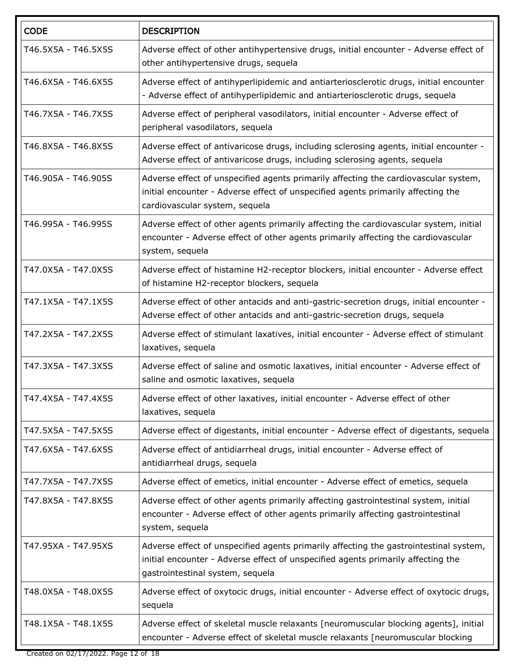| <b>CODE</b>         | <b>DESCRIPTION</b>                                                                                                                                                                                            |
|---------------------|---------------------------------------------------------------------------------------------------------------------------------------------------------------------------------------------------------------|
| T46.5X5A - T46.5X5S | Adverse effect of other antihypertensive drugs, initial encounter - Adverse effect of<br>other antihypertensive drugs, sequela                                                                                |
| T46.6X5A - T46.6X5S | Adverse effect of antihyperlipidemic and antiarteriosclerotic drugs, initial encounter<br>- Adverse effect of antihyperlipidemic and antiarteriosclerotic drugs, sequela                                      |
| T46.7X5A - T46.7X5S | Adverse effect of peripheral vasodilators, initial encounter - Adverse effect of<br>peripheral vasodilators, sequela                                                                                          |
| T46.8X5A - T46.8X5S | Adverse effect of antivaricose drugs, including sclerosing agents, initial encounter -<br>Adverse effect of antivaricose drugs, including sclerosing agents, sequela                                          |
| T46.905A - T46.905S | Adverse effect of unspecified agents primarily affecting the cardiovascular system,<br>initial encounter - Adverse effect of unspecified agents primarily affecting the<br>cardiovascular system, sequela     |
| T46.995A - T46.995S | Adverse effect of other agents primarily affecting the cardiovascular system, initial<br>encounter - Adverse effect of other agents primarily affecting the cardiovascular<br>system, sequela                 |
| T47.0X5A - T47.0X5S | Adverse effect of histamine H2-receptor blockers, initial encounter - Adverse effect<br>of histamine H2-receptor blockers, sequela                                                                            |
| T47.1X5A - T47.1X5S | Adverse effect of other antacids and anti-gastric-secretion drugs, initial encounter -<br>Adverse effect of other antacids and anti-gastric-secretion drugs, sequela                                          |
| T47.2X5A - T47.2X5S | Adverse effect of stimulant laxatives, initial encounter - Adverse effect of stimulant<br>laxatives, sequela                                                                                                  |
| T47.3X5A - T47.3X5S | Adverse effect of saline and osmotic laxatives, initial encounter - Adverse effect of<br>saline and osmotic laxatives, sequela                                                                                |
| T47.4X5A - T47.4X5S | Adverse effect of other laxatives, initial encounter - Adverse effect of other<br>laxatives, sequela                                                                                                          |
| T47.5X5A - T47.5X5S | Adverse effect of digestants, initial encounter - Adverse effect of digestants, sequela                                                                                                                       |
| T47.6X5A - T47.6X5S | Adverse effect of antidiarrheal drugs, initial encounter - Adverse effect of<br>antidiarrheal drugs, sequela                                                                                                  |
| T47.7X5A - T47.7X5S | Adverse effect of emetics, initial encounter - Adverse effect of emetics, sequela                                                                                                                             |
| T47.8X5A - T47.8X5S | Adverse effect of other agents primarily affecting gastrointestinal system, initial<br>encounter - Adverse effect of other agents primarily affecting gastrointestinal<br>system, sequela                     |
| T47.95XA - T47.95XS | Adverse effect of unspecified agents primarily affecting the gastrointestinal system,<br>initial encounter - Adverse effect of unspecified agents primarily affecting the<br>gastrointestinal system, sequela |
| T48.0X5A - T48.0X5S | Adverse effect of oxytocic drugs, initial encounter - Adverse effect of oxytocic drugs,<br>sequela                                                                                                            |
| T48.1X5A - T48.1X5S | Adverse effect of skeletal muscle relaxants [neuromuscular blocking agents], initial<br>encounter - Adverse effect of skeletal muscle relaxants [neuromuscular blocking                                       |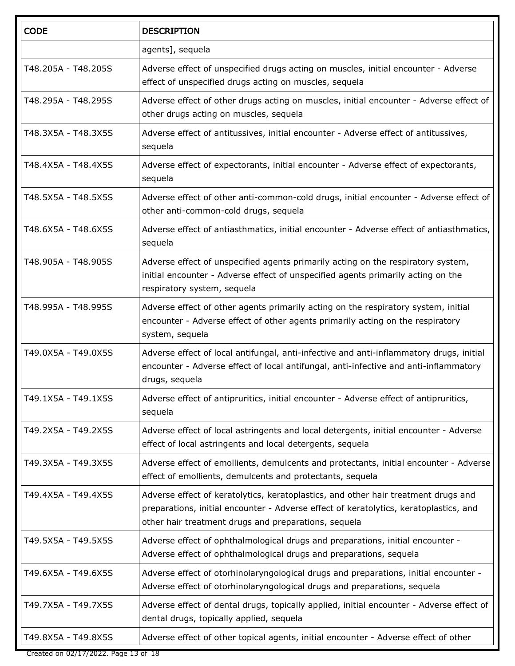| <b>CODE</b>         | <b>DESCRIPTION</b>                                                                                                                                                                                                                  |  |
|---------------------|-------------------------------------------------------------------------------------------------------------------------------------------------------------------------------------------------------------------------------------|--|
|                     | agents], sequela                                                                                                                                                                                                                    |  |
| T48.205A - T48.205S | Adverse effect of unspecified drugs acting on muscles, initial encounter - Adverse<br>effect of unspecified drugs acting on muscles, sequela                                                                                        |  |
| T48.295A - T48.295S | Adverse effect of other drugs acting on muscles, initial encounter - Adverse effect of<br>other drugs acting on muscles, sequela                                                                                                    |  |
| T48.3X5A - T48.3X5S | Adverse effect of antitussives, initial encounter - Adverse effect of antitussives,<br>sequela                                                                                                                                      |  |
| T48.4X5A - T48.4X5S | Adverse effect of expectorants, initial encounter - Adverse effect of expectorants,<br>sequela                                                                                                                                      |  |
| T48.5X5A - T48.5X5S | Adverse effect of other anti-common-cold drugs, initial encounter - Adverse effect of<br>other anti-common-cold drugs, sequela                                                                                                      |  |
| T48.6X5A - T48.6X5S | Adverse effect of antiasthmatics, initial encounter - Adverse effect of antiasthmatics,<br>sequela                                                                                                                                  |  |
| T48.905A - T48.905S | Adverse effect of unspecified agents primarily acting on the respiratory system,<br>initial encounter - Adverse effect of unspecified agents primarily acting on the<br>respiratory system, sequela                                 |  |
| T48.995A - T48.995S | Adverse effect of other agents primarily acting on the respiratory system, initial<br>encounter - Adverse effect of other agents primarily acting on the respiratory<br>system, sequela                                             |  |
| T49.0X5A - T49.0X5S | Adverse effect of local antifungal, anti-infective and anti-inflammatory drugs, initial<br>encounter - Adverse effect of local antifungal, anti-infective and anti-inflammatory<br>drugs, sequela                                   |  |
| T49.1X5A - T49.1X5S | Adverse effect of antipruritics, initial encounter - Adverse effect of antipruritics,<br>sequela                                                                                                                                    |  |
| T49.2X5A - T49.2X5S | Adverse effect of local astringents and local detergents, initial encounter - Adverse<br>effect of local astringents and local detergents, sequela                                                                                  |  |
| T49.3X5A - T49.3X5S | Adverse effect of emollients, demulcents and protectants, initial encounter - Adverse<br>effect of emollients, demulcents and protectants, sequela                                                                                  |  |
| T49.4X5A - T49.4X5S | Adverse effect of keratolytics, keratoplastics, and other hair treatment drugs and<br>preparations, initial encounter - Adverse effect of keratolytics, keratoplastics, and<br>other hair treatment drugs and preparations, sequela |  |
| T49.5X5A - T49.5X5S | Adverse effect of ophthalmological drugs and preparations, initial encounter -<br>Adverse effect of ophthalmological drugs and preparations, sequela                                                                                |  |
| T49.6X5A - T49.6X5S | Adverse effect of otorhinolaryngological drugs and preparations, initial encounter -<br>Adverse effect of otorhinolaryngological drugs and preparations, sequela                                                                    |  |
| T49.7X5A - T49.7X5S | Adverse effect of dental drugs, topically applied, initial encounter - Adverse effect of<br>dental drugs, topically applied, sequela                                                                                                |  |
| T49.8X5A - T49.8X5S | Adverse effect of other topical agents, initial encounter - Adverse effect of other                                                                                                                                                 |  |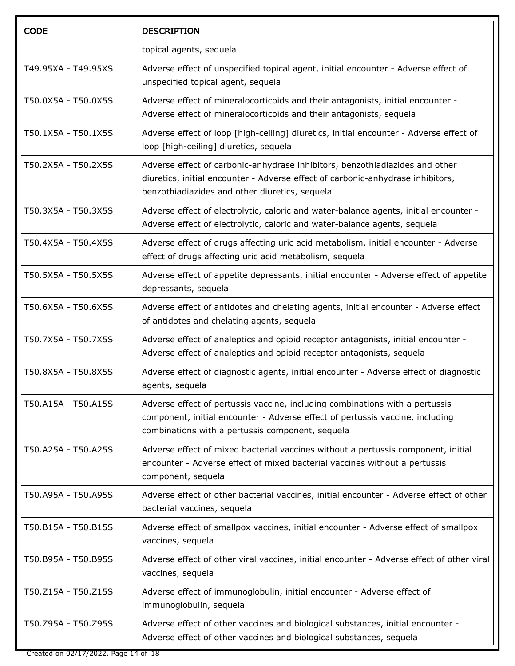| <b>CODE</b>         | <b>DESCRIPTION</b>                                                                                                                                                                                                |  |
|---------------------|-------------------------------------------------------------------------------------------------------------------------------------------------------------------------------------------------------------------|--|
|                     | topical agents, sequela                                                                                                                                                                                           |  |
| T49.95XA - T49.95XS | Adverse effect of unspecified topical agent, initial encounter - Adverse effect of<br>unspecified topical agent, sequela                                                                                          |  |
| T50.0X5A - T50.0X5S | Adverse effect of mineralocorticoids and their antagonists, initial encounter -<br>Adverse effect of mineralocorticoids and their antagonists, sequela                                                            |  |
| T50.1X5A - T50.1X5S | Adverse effect of loop [high-ceiling] diuretics, initial encounter - Adverse effect of<br>loop [high-ceiling] diuretics, sequela                                                                                  |  |
| T50.2X5A - T50.2X5S | Adverse effect of carbonic-anhydrase inhibitors, benzothiadiazides and other<br>diuretics, initial encounter - Adverse effect of carbonic-anhydrase inhibitors,<br>benzothiadiazides and other diuretics, sequela |  |
| T50.3X5A - T50.3X5S | Adverse effect of electrolytic, caloric and water-balance agents, initial encounter -<br>Adverse effect of electrolytic, caloric and water-balance agents, sequela                                                |  |
| T50.4X5A - T50.4X5S | Adverse effect of drugs affecting uric acid metabolism, initial encounter - Adverse<br>effect of drugs affecting uric acid metabolism, sequela                                                                    |  |
| T50.5X5A - T50.5X5S | Adverse effect of appetite depressants, initial encounter - Adverse effect of appetite<br>depressants, sequela                                                                                                    |  |
| T50.6X5A - T50.6X5S | Adverse effect of antidotes and chelating agents, initial encounter - Adverse effect<br>of antidotes and chelating agents, sequela                                                                                |  |
| T50.7X5A - T50.7X5S | Adverse effect of analeptics and opioid receptor antagonists, initial encounter -<br>Adverse effect of analeptics and opioid receptor antagonists, sequela                                                        |  |
| T50.8X5A - T50.8X5S | Adverse effect of diagnostic agents, initial encounter - Adverse effect of diagnostic<br>agents, sequela                                                                                                          |  |
| T50.A15A - T50.A15S | Adverse effect of pertussis vaccine, including combinations with a pertussis<br>component, initial encounter - Adverse effect of pertussis vaccine, including<br>combinations with a pertussis component, sequela |  |
| T50.A25A - T50.A25S | Adverse effect of mixed bacterial vaccines without a pertussis component, initial<br>encounter - Adverse effect of mixed bacterial vaccines without a pertussis<br>component, sequela                             |  |
| T50.A95A - T50.A95S | Adverse effect of other bacterial vaccines, initial encounter - Adverse effect of other<br>bacterial vaccines, sequela                                                                                            |  |
| T50.B15A - T50.B15S | Adverse effect of smallpox vaccines, initial encounter - Adverse effect of smallpox<br>vaccines, sequela                                                                                                          |  |
| T50.B95A - T50.B95S | Adverse effect of other viral vaccines, initial encounter - Adverse effect of other viral<br>vaccines, sequela                                                                                                    |  |
| T50.Z15A - T50.Z15S | Adverse effect of immunoglobulin, initial encounter - Adverse effect of<br>immunoglobulin, sequela                                                                                                                |  |
| T50.Z95A - T50.Z95S | Adverse effect of other vaccines and biological substances, initial encounter -<br>Adverse effect of other vaccines and biological substances, sequela                                                            |  |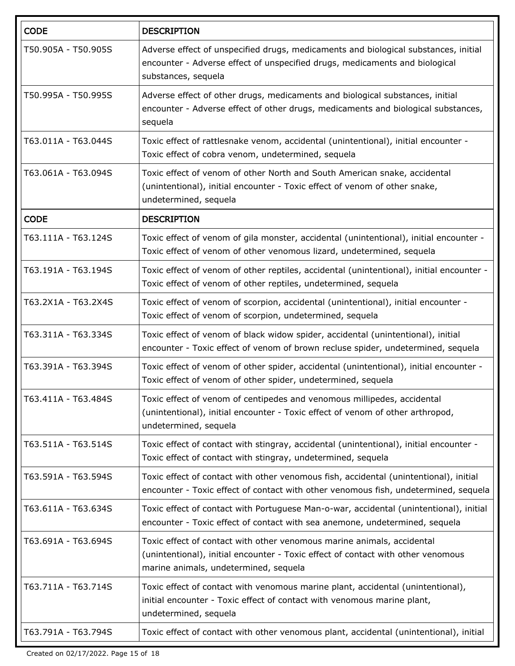| <b>CODE</b>         | <b>DESCRIPTION</b>                                                                                                                                                                                  |  |
|---------------------|-----------------------------------------------------------------------------------------------------------------------------------------------------------------------------------------------------|--|
| T50.905A - T50.905S | Adverse effect of unspecified drugs, medicaments and biological substances, initial<br>encounter - Adverse effect of unspecified drugs, medicaments and biological<br>substances, sequela           |  |
| T50.995A - T50.995S | Adverse effect of other drugs, medicaments and biological substances, initial<br>encounter - Adverse effect of other drugs, medicaments and biological substances,<br>sequela                       |  |
| T63.011A - T63.044S | Toxic effect of rattlesnake venom, accidental (unintentional), initial encounter -<br>Toxic effect of cobra venom, undetermined, sequela                                                            |  |
| T63.061A - T63.094S | Toxic effect of venom of other North and South American snake, accidental<br>(unintentional), initial encounter - Toxic effect of venom of other snake,<br>undetermined, sequela                    |  |
| <b>CODE</b>         | <b>DESCRIPTION</b>                                                                                                                                                                                  |  |
| T63.111A - T63.124S | Toxic effect of venom of gila monster, accidental (unintentional), initial encounter -<br>Toxic effect of venom of other venomous lizard, undetermined, sequela                                     |  |
| T63.191A - T63.194S | Toxic effect of venom of other reptiles, accidental (unintentional), initial encounter -<br>Toxic effect of venom of other reptiles, undetermined, sequela                                          |  |
| T63.2X1A - T63.2X4S | Toxic effect of venom of scorpion, accidental (unintentional), initial encounter -<br>Toxic effect of venom of scorpion, undetermined, sequela                                                      |  |
| T63.311A - T63.334S | Toxic effect of venom of black widow spider, accidental (unintentional), initial<br>encounter - Toxic effect of venom of brown recluse spider, undetermined, sequela                                |  |
| T63.391A - T63.394S | Toxic effect of venom of other spider, accidental (unintentional), initial encounter -<br>Toxic effect of venom of other spider, undetermined, sequela                                              |  |
| T63.411A - T63.484S | Toxic effect of venom of centipedes and venomous millipedes, accidental<br>(unintentional), initial encounter - Toxic effect of venom of other arthropod,<br>undetermined, sequela                  |  |
| T63.511A - T63.514S | Toxic effect of contact with stingray, accidental (unintentional), initial encounter -<br>Toxic effect of contact with stingray, undetermined, sequela                                              |  |
| T63.591A - T63.594S | Toxic effect of contact with other venomous fish, accidental (unintentional), initial<br>encounter - Toxic effect of contact with other venomous fish, undetermined, sequela                        |  |
| T63.611A - T63.634S | Toxic effect of contact with Portuguese Man-o-war, accidental (unintentional), initial<br>encounter - Toxic effect of contact with sea anemone, undetermined, sequela                               |  |
| T63.691A - T63.694S | Toxic effect of contact with other venomous marine animals, accidental<br>(unintentional), initial encounter - Toxic effect of contact with other venomous<br>marine animals, undetermined, sequela |  |
| T63.711A - T63.714S | Toxic effect of contact with venomous marine plant, accidental (unintentional),<br>initial encounter - Toxic effect of contact with venomous marine plant,<br>undetermined, sequela                 |  |
| T63.791A - T63.794S | Toxic effect of contact with other venomous plant, accidental (unintentional), initial                                                                                                              |  |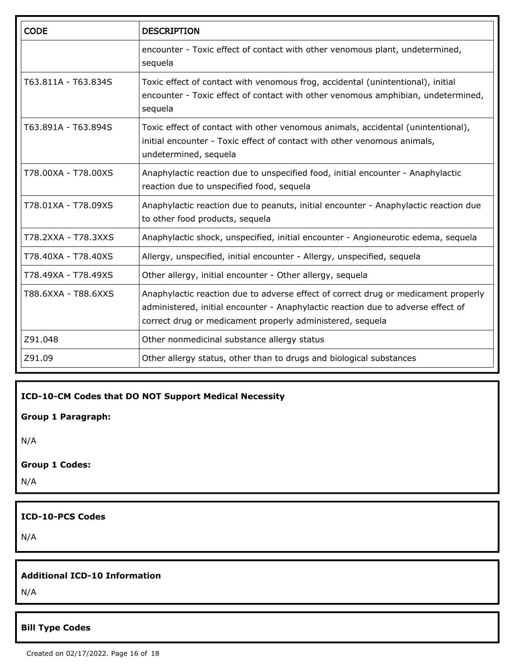| <b>CODE</b>         | <b>DESCRIPTION</b>                                                                                                                                                                                                                  |  |
|---------------------|-------------------------------------------------------------------------------------------------------------------------------------------------------------------------------------------------------------------------------------|--|
|                     | encounter - Toxic effect of contact with other venomous plant, undetermined,<br>sequela                                                                                                                                             |  |
| T63.811A - T63.834S | Toxic effect of contact with venomous frog, accidental (unintentional), initial<br>encounter - Toxic effect of contact with other venomous amphibian, undetermined,<br>sequela                                                      |  |
| T63.891A - T63.894S | Toxic effect of contact with other venomous animals, accidental (unintentional),<br>initial encounter - Toxic effect of contact with other venomous animals,<br>undetermined, sequela                                               |  |
| T78.00XA - T78.00XS | Anaphylactic reaction due to unspecified food, initial encounter - Anaphylactic<br>reaction due to unspecified food, sequela                                                                                                        |  |
| T78.01XA - T78.09XS | Anaphylactic reaction due to peanuts, initial encounter - Anaphylactic reaction due<br>to other food products, sequela                                                                                                              |  |
| T78.2XXA - T78.3XXS | Anaphylactic shock, unspecified, initial encounter - Angioneurotic edema, sequela                                                                                                                                                   |  |
| T78.40XA - T78.40XS | Allergy, unspecified, initial encounter - Allergy, unspecified, sequela                                                                                                                                                             |  |
| T78.49XA - T78.49XS | Other allergy, initial encounter - Other allergy, sequela                                                                                                                                                                           |  |
| T88.6XXA - T88.6XXS | Anaphylactic reaction due to adverse effect of correct drug or medicament properly<br>administered, initial encounter - Anaphylactic reaction due to adverse effect of<br>correct drug or medicament properly administered, sequela |  |
| Z91.048             | Other nonmedicinal substance allergy status                                                                                                                                                                                         |  |
| Z91.09              | Other allergy status, other than to drugs and biological substances                                                                                                                                                                 |  |

**ICD-10-CM Codes that DO NOT Support Medical Necessity**

**Group 1 Paragraph:**

N/A

**Group 1 Codes:**

N/A

**ICD-10-PCS Codes**

N/A

#### **Additional ICD-10 Information**

N/A

#### **Bill Type Codes**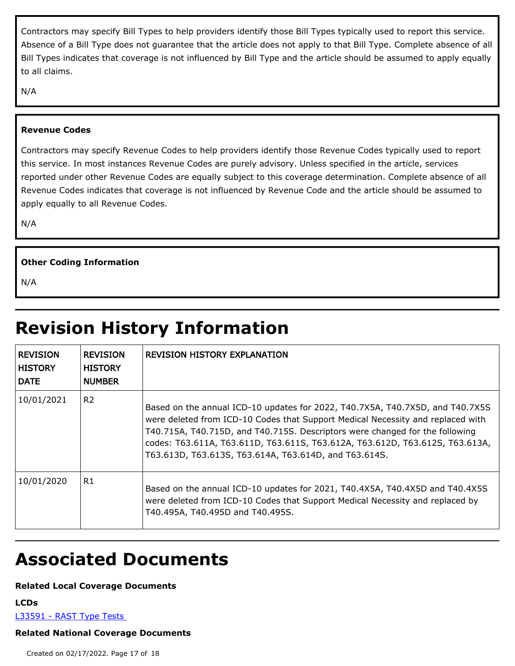Contractors may specify Bill Types to help providers identify those Bill Types typically used to report this service. Absence of a Bill Type does not guarantee that the article does not apply to that Bill Type. Complete absence of all Bill Types indicates that coverage is not influenced by Bill Type and the article should be assumed to apply equally to all claims.

N/A

#### **Revenue Codes**

Contractors may specify Revenue Codes to help providers identify those Revenue Codes typically used to report this service. In most instances Revenue Codes are purely advisory. Unless specified in the article, services reported under other Revenue Codes are equally subject to this coverage determination. Complete absence of all Revenue Codes indicates that coverage is not influenced by Revenue Code and the article should be assumed to apply equally to all Revenue Codes.

N/A

#### **Other Coding Information**

N/A

## **Revision History Information**

| <b>REVISION</b><br><b>HISTORY</b><br><b>DATE</b> | <b>REVISION</b><br><b>HISTORY</b><br><b>NUMBER</b> | <b>REVISION HISTORY EXPLANATION</b>                                                                                                                                                                                                                                                                                                                                                       |
|--------------------------------------------------|----------------------------------------------------|-------------------------------------------------------------------------------------------------------------------------------------------------------------------------------------------------------------------------------------------------------------------------------------------------------------------------------------------------------------------------------------------|
| 10/01/2021                                       | R <sub>2</sub>                                     | Based on the annual ICD-10 updates for 2022, T40.7X5A, T40.7X5D, and T40.7X5S<br>were deleted from ICD-10 Codes that Support Medical Necessity and replaced with<br>T40.715A, T40.715D, and T40.715S. Descriptors were changed for the following<br>codes: T63.611A, T63.611D, T63.611S, T63.612A, T63.612D, T63.612S, T63.613A,<br>T63.613D, T63.613S, T63.614A, T63.614D, and T63.614S. |
| 10/01/2020                                       | R1                                                 | Based on the annual ICD-10 updates for 2021, T40.4X5A, T40.4X5D and T40.4X5S<br>were deleted from ICD-10 Codes that Support Medical Necessity and replaced by<br>T40.495A, T40.495D and T40.495S.                                                                                                                                                                                         |

### **Associated Documents**

#### **Related Local Coverage Documents**

**LCDs**

[L33591 - RAST Type Tests](./lcd.aspx?lcdId=33591&ver=18) 

#### **Related National Coverage Documents**

Created on 02/17/2022. Page 17 of 18